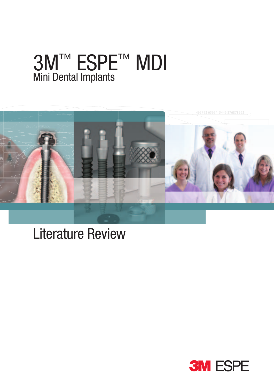# 3M™ ESPE™ MDI Mini Dental Implants



# Literature Review

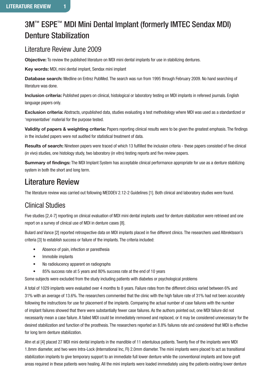## 3M<sup>™</sup> ESPE<sup>™</sup> MDI Mini Dental Implant (formerly IMTEC Sendax MDI) Denture Stabilization

### Literature Review June 2009

**Objective:** To review the published literature on MDI mini dental implants for use in stabilizing dentures.

**Key words:** MDI, mini dental implant, Sendax mini implant

**Database search:** Medline on Entrez PubMed. The search was run from 1995 through February 2009. No hand searching of literature was done.

**Inclusion criteria:** Published papers on clinical, histological or laboratory testing on MDI implants in refereed journals. English language papers only.

**Exclusion criteria:** Abstracts, unpublished data, studies evaluating a test methodology where MDI was used as a standardized or 'representative' material for the purpose tested.

**Validity of papers & weighting criteria:** Papers reporting clinical results were to be given the greatest emphasis. The findings in the included papers were not audited for statistical treatment of data.

**Results of search:** Nineteen papers were traced of which 13 fulfilled the inclusion criteria - these papers consisted of five clinical (in vivo) studies, one histology study, two laboratory (in vitro) testing reports and five review papers.

**Summary of findings:** The MDI Implant System has acceptable clinical performance appropriate for use as a denture stabilizing system in both the short and long term.

## Literature Review

The literature review was carried out following MEDDEV 2.12-2 Guidelines [1]. Both clinical and laboratory studies were found.

## Clinical Studies

Five studies [2,4-7] reporting on clinical evaluation of MDI mini dental implants used for denture stabilization were retrieved and one report on a survey of clinical use of MDI in denture cases [8].

Bulard and Vance [2] reported retrospective data on MDI implants placed in five different clinics. The researchers used Albrektsson's criteria [3] to establish success or failure of the implants. The criteria included:

- Absence of pain, infection or paresthesia
- Immobile implants
- No radiolucency apparent on radiographs
- 85% success rate at 5 years and 80% success rate at the end of 10 years

Some subjects were excluded from the study including patients with diabetes or psychological problems

A total of 1029 implants were evaluated over 4 months to 8 years. Failure rates from the different clinics varied between 6% and 31% with an average of 13.6%. The researchers commented that the clinic with the high failure rate of 31% had not been accurately following the instructions for use for placement of the implants. Comparing the actual number of case failures with the number of implant failures showed that there were substantially fewer case failures. As the authors pointed out, one MDI failure did not necessarily mean a case failure. A failed MDI could be immediately removed and replaced, or it may be considered unnecessary for the desired stabilization and function of the prosthesis. The researchers reported an 8.8% failures rate and considered that MDI is effective for long term denture stabilization.

Ahn et al [4] placed 27 MDI mini dental implants in the mandible of 11 edentulous patients. Twenty five of the implants were MDI 1.8mm diameter, and two were Intra-Lock (International Inc, Fl) 2.0mm diameter. The mini implants were placed to act as transitional stabilization implants to give temporary support to an immediate full lower denture while the conventional implants and bone graft areas required in these patients were healing. All the mini implants were loaded immediately using the patients existing lower denture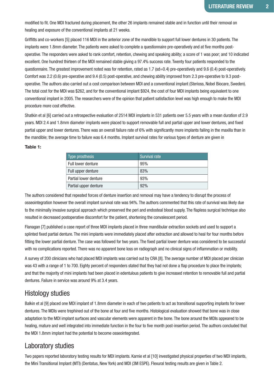modified to fit. One MDI fractured during placement, the other 26 implants remained stable and in function until their removal on healing and exposure of the conventional implants at 21 weeks.

Griffitts and co-workers [5] placed 116 MDI in the anterior zone of the mandible to support full lower dentures in 30 patients. The implants were 1.8mm diameter. The patients were asked to complete a questionnaire pre-operatively and at five months postoperative. The responders were asked to rank comfort, retention, chewing and speaking ability; a score of 1 was poor; and 10 indicated excellent. One hundred thirteen of the MDI remained stable giving a 97.4% success rate. Twenty four patients responded to the questionnaire. The greatest improvement noted was for retention, rated as 1.7 (sd=0.4) pre-operatively and 9.6 (0.4) post-operatively. Comfort was 2.2 (0.6) pre-operative and 9.4 (0.5) post-operative, and chewing ability improved from 2.3 pre-operative to 9.3 postoperative. The authors also carried out a cost comparison between MDI and a conventional implant (Sterioss, Nobel Biocare, Sweden). The total cost for the MDI was \$262, and for the conventional implant \$924, the cost of four MDI implants being equivalent to one conventional implant in 2005. The researchers were of the opinion that patient satisfaction level was high enough to make the MDI procedure more cost effective.

Shatkin et al [6] carried out a retrospective evaluation of 2514 MDI implants in 531 patients over 5.5 years with a mean duration of 2.9 years. MDI 2.4 and 1.8mm diameter implants were placed to support removable full and partial upper and lower dentures, and fixed partial upper and lower dentures. There was an overall failure rate of 6% with significantly more implants failing in the maxilla than in the mandible; the average time to failure was 6.4 months. Implant survival rates for various types of denture are given in

#### **Table 1:**

| Type prosthesis       | <b>Survival rate</b> |
|-----------------------|----------------------|
| Full lower denture    | 95%                  |
| Full upper denture    | 83%                  |
| Partial lower denture | 93%                  |
| Partial upper denture | 92%                  |

The authors considered that repeated forces of denture insertion and removal may have a tendency to disrupt the process of osseointegration however the overall implant survival rate was 94%. The authors commented that this rate of survival was likely due to the minimally invasive surgical approach which preserved the peri and endosteal blood supply. The flapless surgical technique also resulted in decreased postoperative discomfort for the patient, shortening the convalescent period.

Flanagan [7] published a case report of three MDI implants placed in three mandibular extraction sockets and used to support a splinted fixed partial denture. The mini implants were immediately placed after extraction and allowed to heal for four months before fitting the lower partial denture. The case was followed for two years. The fixed partial lower denture was considered to be successful with no complications reported. There was no apparent bone loss on radiograph and no clinical signs of inflammation or mobility.

A survey of 200 clinicians who had placed MDI implants was carried out by CRA [8]. The average number of MDI placed per clinician was 43 with a range of 1 to 700. Eighty percent of responders stated that they had not done a flap procedure to place the implants; and that the majority of mini implants had been placed in edentulous patients to give increased retention to removable full and partial dentures. Failure in service was around 9% at 3.4 years.

#### Histology studies

Balkin et al [9] placed one MDI implant of 1.8mm diameter in each of two patients to act as transitional supporting implants for lower dentures. The MDIs were trephined out of the bone at four and five months. Histological evaluation showed that bone was in close adaptation to the MDI implant surfaces and vascular elements were apparent in the bone. The bone around the MDIs appeared to be healing, mature and well integrated into immediate function in the four to five month post-insertion period. The authors concluded that the MDI 1.8mm implant had the potential to become osseointegrated.

#### Laboratory studies

Two papers reported laboratory testing results for MDI implants. Karnie et al [10] investigated physical properties of two MDI implants, the Mini Transitional Implant (MTI) (Dentatus, New York) and MDI (3M ESPE). Flexural testing results are given in Table 2.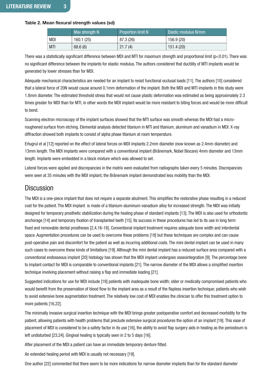#### **Table 2. Mean flexural strength values (sd)**

|  |            | Max strength N | <b>Proportion limit N</b> | Elastic modulus N/mm |
|--|------------|----------------|---------------------------|----------------------|
|  | <b>MDI</b> | 160.1 (25)     | 87.3 (26)                 | 156.9 (20)           |
|  | <b>MTI</b> | 68.6(6)        | 21.7(4)                   | 151.4 (20)           |

There was a statistically significant difference between MDI and MTI for maximum strength and proportional limit (p<0.01). There was no significant difference between the implants for elastic modulus. The authors considered that ductility of MTI implants would be generated by lower stresses than for MDI.

Adequate mechanical characteristics are needed for an implant to resist functional occlusal loads [11]. The authors [10] considered that a lateral force of 20N would cause around 0.1mm deformation of the implant. Both the MDI and MTI implants in this study were 1.8mm diameter. The estimated threshold stress that would not cause plastic deformation was estimated as being approximately 2.3 times greater for MDI than for MTI, in other words the MDI implant would be more resistant to biting forces and would be more difficult to bend.

Scanning electron microscopy of the implant surfaces showed that the MTI surface was smooth whereas the MDI had a microroughened surface from etching. Elemental analysis detected titanium in MTI and titanium, aluminum and vanadium in MDI. X-ray diffraction showed both implants to consist of alpha phase titanium at room temperature.

Ertugrul et al [12] reported on the effect of lateral forces on MDI implants 2.2mm diameter (now known as 2.4mm diameter) and 13mm length. The MDI implants were compared with a conventional implant (Brånemark, Nobel Biocare) 4mm diameter and 13mm length. Implants were embedded in a block mixture which was allowed to set.

Lateral forces were applied and discrepancies in the matrix were evaluated from radiographs taken every 5 minutes. Discrepancies were seen at 35 minutes with the MDI implant, the Brånemark implant demonstrated less mobility than the MDI.

#### **Discussion**

The MDI is a one-piece implant that does not require a separate abutment. This simplifies the restorative phase resulting in a reduced cost for the patient. The MDI implant is made of a titanium-aluminum-vanadium alloy for increased strength. The MDI was initially designed for temporary prosthetic stabilization during the healing phase of standard implants [13]. The MDI is also used for orthodontic anchorage [14] and temporary fixation of transplanted teeth [15]. Its success in these procedures has led to its use in long term fixed and removable dental prostheses [2,4,16-18]. Conventional implant treatment requires adequate bone width and interdental space. Augmentation procedures can be used to overcome these problems [19] but these techniques are complex and can cause post-operative pain and discomfort for the patient as well as incurring additional costs. The mini dental implant can be used in many such cases to overcome these kinds of limitations [19]. Although the mini dental implant has a reduced surface area compared with a conventional endosseous implant [20] histology has shown that the MDI implant undergoes osseointegration [9]. The percentage bone to implant contact for MDI is comparable to conventional implants [21]. The narrow diameter of the MDI allows a simplified insertion technique involving placement without raising a flap and immediate loading [21].

Suggested indications for use for MDI include [19] patients with inadequate bone width; older or medically compromised patients who would benefit from the preservation of blood flow to the implant area as a result of the flapless insertion technique; patients who wish to avoid extensive bone augmentation treatment. The relatively low cost of MDI enables the clinician to offer this treatment option to more patients [16,22].

The minimally invasive surgical insertion technique with the MDI brings greater postoperative comfort and decreased morbidity for the patient, allowing patients with health problems that preclude extensive surgical procedures the option of an implant [19]. This ease of placement of MDI is considered to be a safety factor in its use [16], the ability to avoid flap surgery aids in healing as the periosteum is left undisturbed [23,24]. Gingival healing is typically seen in 2 to 5 days [16].

After placement of the MDI a patient can have an immediate temporary denture fitted.

An extended healing period with MDI is usually not necessary [19].

One author [22] commented that there seem to be more indications for narrow diameter implants than for the standard diameter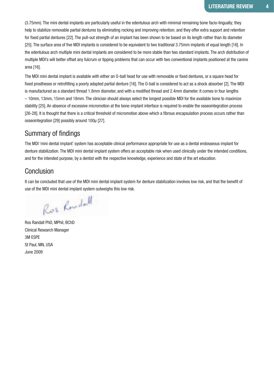(3.75mm). The mini dental implants are particularly useful in the edentulous arch with minimal remaining bone facio-lingually; they help to stabilize removable partial dentures by eliminating rocking and improving retention; and they offer extra support and retention for fixed partial dentures [22]. The pull-out strength of an implant has been shown to be based on its length rather than its diameter [25]. The surface area of five MDI implants is considered to be equivalent to two traditional 3.75mm implants of equal length [16]. In the edentulous arch multiple mini dental implants are considered to be more stable than two standard implants. The arch distribution of multiple MDI's will better offset any fulcrum or tipping problems that can occur with two conventional implants positioned at the canine area [16].

The MDI mini dental implant is available with either an O-ball head for use with removable or fixed dentures, or a square head for fixed prostheses or retrofitting a poorly adapted partial denture [16]. The O-ball is considered to act as a shock absorber [2]. The MDI is manufactured as a standard thread 1.8mm diameter, and with a modified thread and 2.4mm diameter. It comes in four lengths – 10mm, 13mm, 15mm and 18mm. The clinician should always select the longest possible MDI for the available bone to maximize stability [25]. An absence of excessive micromotion at the bone-implant interface is required to enable the osseointegration process [26-28]. It is thought that there is a critical threshold of micromotion above which a fibrous encapsulation process occurs rather than osseointegration [29] possibly around 100μ [27].

#### Summary of findings

The MDI 'mini dental implant' system has acceptable clinical performance appropriate for use as a dental endosseous implant for denture stabilization. The MDI mini dental implant system offers an acceptable risk when used clinically under the intended conditions, and for the intended purpose, by a dentist with the respective knowledge, experience and state of the art education.

#### **Conclusion**

It can be concluded that use of the MDI mini dental implant system for denture stabilization involves low risk, and that the benefit of use of the MDI mini dental implant system outweighs this low risk.

Ros Rondall

Ros Randall PhD, MPhil, BChD Clinical Research Manager 3M ESPE St Paul, MN, USA June 2009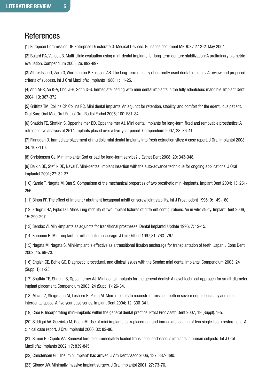### **References**

[1] European Commission DG Enterprise Directorate G. Medical Devices: Guidance document MEDDEV 2.12-2. May 2004.

[2] Bulard RA, Vance JB. Multi-clinic evaluation using mini-dental implants for long-term denture stabilization: A preliminary biometric evaluation. Compendium 2005; 26: 892-897.

[3] Albrektsson T, Zarb G, Worthington P, Eriksson AR. The long-term efficacy of currently used dental implants: A review and proposed criteria of success. Int J Oral Maxillofac Implants 1986; 1: 11-25.

[4] Ahn M-R, An K-A, Choi J-H, Sohn D-S. Immediate loading with mini dental implants in the fully edentulous mandible. Implant Dent 2004; 13: 367-372.

[5] Griffitts TM, Collins CP, Collins PC. Mini dental implants: An adjunct for retention, stability, and comfort for the edentulous patient. Oral Surg Oral Med Oral Pathol Oral Radiol Endod 2005; 100: E81-84.

[6] Shatkin TE, Shatkin S, Oppenheimer BD, Oppenheimer AJ. Mini dental implants for long-term fixed and removable prosthetics: A retrospective analysis of 2514 implants placed over a five-year period. Compendium 2007; 28: 36-41.

[7] Flanagan D. Immediate placement of multiple mini dental implants into fresh extraction sites: A case report. J Oral Implantol 2008; 34: 107-110.

[8] Christensen GJ. Mini implants: God or bad for long-term service? J Esthet Dent 2008; 20: 343-348.

[9] Balkin BE, Steflik DE, Naval F. Mini-dentasl implant insertion with the auto-advance technique for ongoing applications. J Oral Implantol 2001; 27: 32-37.

[10] Karnie T, Nagata M, Ban S. Comparison of the mechanical properties of two prosthetic mini-implants. Implant Dent 2004; 13: 251- 256.

[11] Binon PP. The effect of implant / abutment hexagonal misfit on screw joint stability. Int J Prosthodont 1996; 9: 149-160.

[12] Ertugrul HZ, Pipko DJ. Measuring mobility of two implant fixtures of different configurations: An in vitro study. Implant Dent 2006; 15: 290-297.

[13] Sendax VI. Mini-implants as adjuncts for transitional prostheses. Dental Implantol Update 1996; 7: 12-15.

[14] Kanomie R. Mini-implant for orthodontic anchorage. J Clin Orthod 1997;31: 763- 767.

[15] Nagata M, Nagata S. Mini-implant is effective as a transitional fixation anchorage for transplantation of teeth. Japan J Cons Dent 2002; 45: 69-73.

[16] Englsh CE, Bohle GC. Diagnostic, procedural, and clinical issues with the Sendax mini dental implants. Compendium 2003; 24 (Suppl 1): 1-23.

[17] Shatkin TE, Shatkin S, Oppenhemer AJ. Mini dental implants for the general dentist: A novel technical approach for small-diameter implant placement. Compendium 2003; 24 (Suppl 1): 26-34.

[18] Mazor Z, Steigmann M, Leshern R, Peleg M. Mini-implants to reconstruct missing teeth in severe ridge deficiency and small interdental space: A five year case series. Implant Dent 2004; 12; 336-341.

[19] Choi R. Incorporating mini-implants within the general dental practice. Pract Proc Aesth Dent 2007; 19 (Suppl): 1-5.

[20] Siddiqui AA, Sosvicka M, Goetz M. Use of mini implants for replacement and immediate loading of two single-tooth restorations: A clinical case report. J Oral Implantol 2006; 32: 82-86.

[21] Simon H, Caputo AA. Removal torque of immediately loaded transitional endosseous implants in human subjects. Int J Oral Maxillofac Implants 2002; 17: 839-845.

[22] Christensen GJ. The 'mini implant' has arrived. J Am Dent Assoc 2006; 137: 387- 390.

[23] Gibney JW. Minimally invasive implant surgery. J Oral Implantol 2001; 27: 73-76.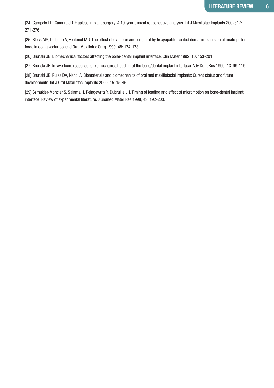[24] Campelo LD, Camara JR. Flapless implant surgery: A 10-year clinical retrospective analysis. Int J Maxillofac Implants 2002; 17: 271-276.

[25] Block MS, Delgado A, Fontenot MG. The effect of diameter and length of hydroxyapatite-coated dental implants on ultimate pullout force in dog alveolar bone. J Oral Maxillofac Surg 1990; 48: 174-178.

[26] Brunski JB. Biomechanical factors affecting the bone-dental implant interface. Clin Mater 1992; 10: 153-201.

[27] Brunski JB. In vivo bone response to biomechanical loading at the bone/dental implant interface. Adv Dent Res 1999; 13: 99-119.

[28] Brunski JB, Pules DA, Nanci A. Biomaterials and biomechanics of oral and maxillofacial implants: Curent status and future developments. Int J Oral Maxillofac Implants 2000; 15: 15-46.

[29] Szmukler-Moncler S, Salama H, Reingewritz Y, Dubruille JH. Timing of loading and effect of micromotion on bone-dental implant interface: Review of experimental literature. J Biomed Mater Res 1998; 43: 192-203.